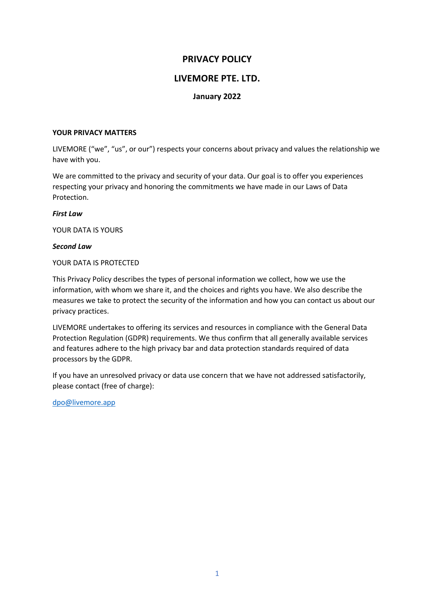# **PRIVACY POLICY**

# **LIVEMORE PTE. LTD.**

## **January 2022**

#### **YOUR PRIVACY MATTERS**

LIVEMORE ("we", "us", or our") respects your concerns about privacy and values the relationship we have with you.

We are committed to the privacy and security of your data. Our goal is to offer you experiences respecting your privacy and honoring the commitments we have made in our Laws of Data Protection.

#### *First Law*

YOUR DATA IS YOURS

#### *Second Law*

#### YOUR DATA IS PROTECTED

This Privacy Policy describes the types of personal information we collect, how we use the information, with whom we share it, and the choices and rights you have. We also describe the measures we take to protect the security of the information and how you can contact us about our privacy practices.

LIVEMORE undertakes to offering its services and resources in compliance with the General Data Protection Regulation (GDPR) requirements. We thus confirm that all generally available services and features adhere to the high privacy bar and data protection standards required of data processors by the GDPR.

If you have an unresolved privacy or data use concern that we have not addressed satisfactorily, please contact (free of charge):

dpo@livemore.app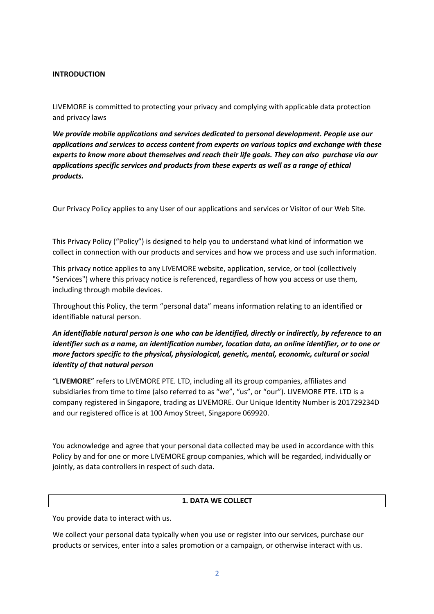## **INTRODUCTION**

LIVEMORE is committed to protecting your privacy and complying with applicable data protection and privacy laws

*We provide mobile applications and services dedicated to personal development. People use our applications and services to access content from experts on various topics and exchange with these experts to know more about themselves and reach their life goals. They can also purchase via our applications specific services and products from these experts as well as a range of ethical products.*

Our Privacy Policy applies to any User of our applications and services or Visitor of our Web Site.

This Privacy Policy ("Policy") is designed to help you to understand what kind of information we collect in connection with our products and services and how we process and use such information.

This privacy notice applies to any LIVEMORE website, application, service, or tool (collectively "Services") where this privacy notice is referenced, regardless of how you access or use them, including through mobile devices.

Throughout this Policy, the term "personal data" means information relating to an identified or identifiable natural person.

*An identifiable natural person is one who can be identified, directly or indirectly, by reference to an identifier such as a name, an identification number, location data, an online identifier, or to one or more factors specific to the physical, physiological, genetic, mental, economic, cultural or social identity of that natural person*

"**LIVEMORE**" refers to LIVEMORE PTE. LTD, including all its group companies, affiliates and subsidiaries from time to time (also referred to as "we", "us", or "our"). LIVEMORE PTE. LTD is a company registered in Singapore, trading as LIVEMORE. Our Unique Identity Number is 201729234D and our registered office is at 100 Amoy Street, Singapore 069920.

You acknowledge and agree that your personal data collected may be used in accordance with this Policy by and for one or more LIVEMORE group companies, which will be regarded, individually or jointly, as data controllers in respect of such data.

## **1. DATA WE COLLECT**

You provide data to interact with us.

We collect your personal data typically when you use or register into our services, purchase our products or services, enter into a sales promotion or a campaign, or otherwise interact with us.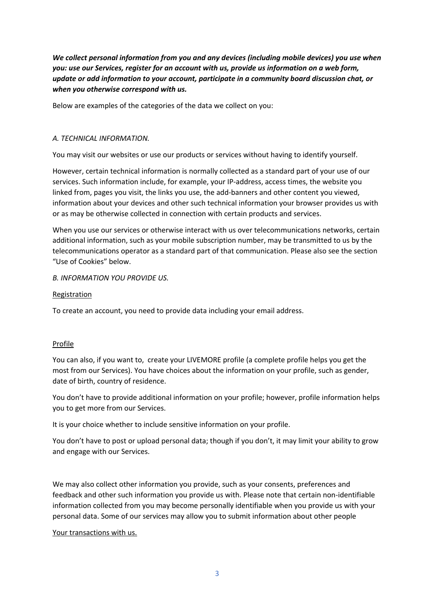*We collect personal information from you and any devices (including mobile devices) you use when you: use our Services, register for an account with us, provide us information on a web form, update or add information to your account, participate in a community board discussion chat, or when you otherwise correspond with us.*

Below are examples of the categories of the data we collect on you:

## *A. TECHNICAL INFORMATION.*

You may visit our websites or use our products or services without having to identify yourself.

However, certain technical information is normally collected as a standard part of your use of our services. Such information include, for example, your IP-address, access times, the website you linked from, pages you visit, the links you use, the add-banners and other content you viewed, information about your devices and other such technical information your browser provides us with or as may be otherwise collected in connection with certain products and services.

When you use our services or otherwise interact with us over telecommunications networks, certain additional information, such as your mobile subscription number, may be transmitted to us by the telecommunications operator as a standard part of that communication. Please also see the section "Use of Cookies" below.

## *B. INFORMATION YOU PROVIDE US.*

### Registration

To create an account, you need to provide data including your email address.

### Profile

You can also, if you want to, create your LIVEMORE profile (a complete profile helps you get the most from our Services). You have choices about the information on your profile, such as gender, date of birth, country of residence.

You don't have to provide additional information on your profile; however, profile information helps you to get more from our Services.

It is your choice whether to include sensitive information on your profile.

You don't have to post or upload personal data; though if you don't, it may limit your ability to grow and engage with our Services.

We may also collect other information you provide, such as your consents, preferences and feedback and other such information you provide us with. Please note that certain non-identifiable information collected from you may become personally identifiable when you provide us with your personal data. Some of our services may allow you to submit information about other people

### Your transactions with us.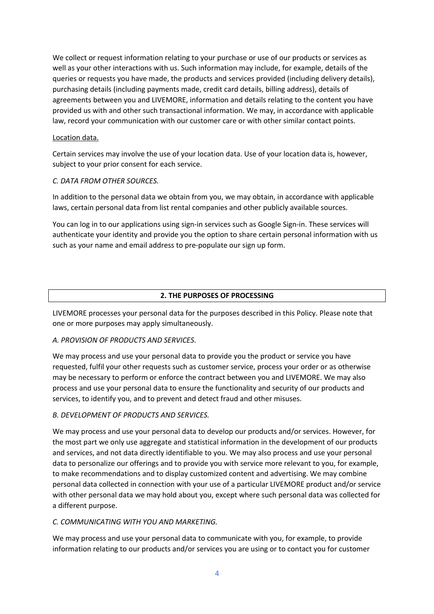We collect or request information relating to your purchase or use of our products or services as well as your other interactions with us. Such information may include, for example, details of the queries or requests you have made, the products and services provided (including delivery details), purchasing details (including payments made, credit card details, billing address), details of agreements between you and LIVEMORE, information and details relating to the content you have provided us with and other such transactional information. We may, in accordance with applicable law, record your communication with our customer care or with other similar contact points.

## Location data.

Certain services may involve the use of your location data. Use of your location data is, however, subject to your prior consent for each service.

## *C. DATA FROM OTHER SOURCES.*

In addition to the personal data we obtain from you, we may obtain, in accordance with applicable laws, certain personal data from list rental companies and other publicly available sources.

You can log in to our applications using sign-in services such as Google Sign-in. These services will authenticate your identity and provide you the option to share certain personal information with us such as your name and email address to pre-populate our sign up form.

# **2. THE PURPOSES OF PROCESSING**

LIVEMORE processes your personal data for the purposes described in this Policy. Please note that one or more purposes may apply simultaneously.

## *A. PROVISION OF PRODUCTS AND SERVICES*.

We may process and use your personal data to provide you the product or service you have requested, fulfil your other requests such as customer service, process your order or as otherwise may be necessary to perform or enforce the contract between you and LIVEMORE. We may also process and use your personal data to ensure the functionality and security of our products and services, to identify you, and to prevent and detect fraud and other misuses.

## *B. DEVELOPMENT OF PRODUCTS AND SERVICES.*

We may process and use your personal data to develop our products and/or services. However, for the most part we only use aggregate and statistical information in the development of our products and services, and not data directly identifiable to you. We may also process and use your personal data to personalize our offerings and to provide you with service more relevant to you, for example, to make recommendations and to display customized content and advertising. We may combine personal data collected in connection with your use of a particular LIVEMORE product and/or service with other personal data we may hold about you, except where such personal data was collected for a different purpose.

### *C. COMMUNICATING WITH YOU AND MARKETING.*

We may process and use your personal data to communicate with you, for example, to provide information relating to our products and/or services you are using or to contact you for customer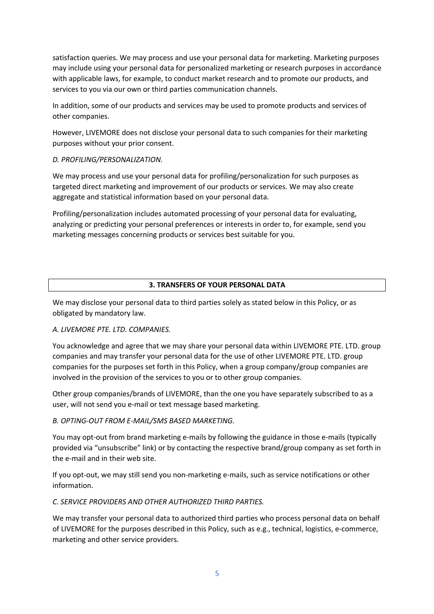satisfaction queries. We may process and use your personal data for marketing. Marketing purposes may include using your personal data for personalized marketing or research purposes in accordance with applicable laws, for example, to conduct market research and to promote our products, and services to you via our own or third parties communication channels.

In addition, some of our products and services may be used to promote products and services of other companies.

However, LIVEMORE does not disclose your personal data to such companies for their marketing purposes without your prior consent.

## *D. PROFILING/PERSONALIZATION.*

We may process and use your personal data for profiling/personalization for such purposes as targeted direct marketing and improvement of our products or services. We may also create aggregate and statistical information based on your personal data.

Profiling/personalization includes automated processing of your personal data for evaluating, analyzing or predicting your personal preferences or interests in order to, for example, send you marketing messages concerning products or services best suitable for you.

# **3. TRANSFERS OF YOUR PERSONAL DATA**

We may disclose your personal data to third parties solely as stated below in this Policy, or as obligated by mandatory law.

## *A. LIVEMORE PTE. LTD. COMPANIES.*

You acknowledge and agree that we may share your personal data within LIVEMORE PTE. LTD. group companies and may transfer your personal data for the use of other LIVEMORE PTE. LTD. group companies for the purposes set forth in this Policy, when a group company/group companies are involved in the provision of the services to you or to other group companies.

Other group companies/brands of LIVEMORE, than the one you have separately subscribed to as a user, will not send you e-mail or text message based marketing.

## *B. OPTING-OUT FROM E-MAIL/SMS BASED MARKETING.*

You may opt-out from brand marketing e-mails by following the guidance in those e-mails (typically provided via "unsubscribe" link) or by contacting the respective brand/group company as set forth in the e-mail and in their web site.

If you opt-out, we may still send you non-marketing e-mails, such as service notifications or other information.

## *C. SERVICE PROVIDERS AND OTHER AUTHORIZED THIRD PARTIES.*

We may transfer your personal data to authorized third parties who process personal data on behalf of LIVEMORE for the purposes described in this Policy, such as e.g., technical, logistics, e-commerce, marketing and other service providers.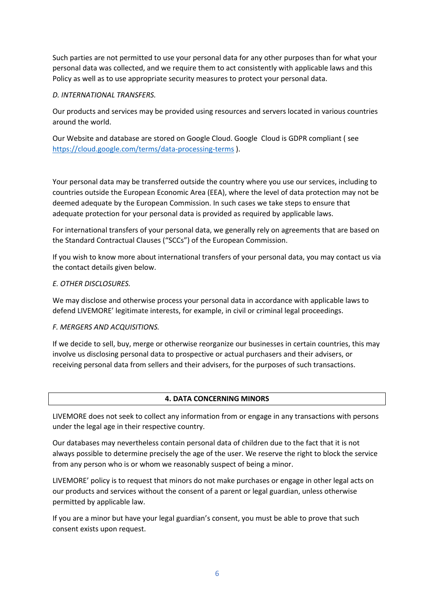Such parties are not permitted to use your personal data for any other purposes than for what your personal data was collected, and we require them to act consistently with applicable laws and this Policy as well as to use appropriate security measures to protect your personal data.

## *D. INTERNATIONAL TRANSFERS.*

Our products and services may be provided using resources and servers located in various countries around the world.

Our Website and database are stored on Google Cloud. Google Cloud is GDPR compliant ( see https://cloud.google.com/terms/data-processing-terms ).

Your personal data may be transferred outside the country where you use our services, including to countries outside the European Economic Area (EEA), where the level of data protection may not be deemed adequate by the European Commission. In such cases we take steps to ensure that adequate protection for your personal data is provided as required by applicable laws.

For international transfers of your personal data, we generally rely on agreements that are based on the Standard Contractual Clauses ("SCCs") of the European Commission.

If you wish to know more about international transfers of your personal data, you may contact us via the contact details given below.

### *E. OTHER DISCLOSURES.*

We may disclose and otherwise process your personal data in accordance with applicable laws to defend LIVEMORE' legitimate interests, for example, in civil or criminal legal proceedings.

### *F. MERGERS AND ACQUISITIONS.*

If we decide to sell, buy, merge or otherwise reorganize our businesses in certain countries, this may involve us disclosing personal data to prospective or actual purchasers and their advisers, or receiving personal data from sellers and their advisers, for the purposes of such transactions.

### **4. DATA CONCERNING MINORS**

LIVEMORE does not seek to collect any information from or engage in any transactions with persons under the legal age in their respective country.

Our databases may nevertheless contain personal data of children due to the fact that it is not always possible to determine precisely the age of the user. We reserve the right to block the service from any person who is or whom we reasonably suspect of being a minor.

LIVEMORE' policy is to request that minors do not make purchases or engage in other legal acts on our products and services without the consent of a parent or legal guardian, unless otherwise permitted by applicable law.

If you are a minor but have your legal guardian's consent, you must be able to prove that such consent exists upon request.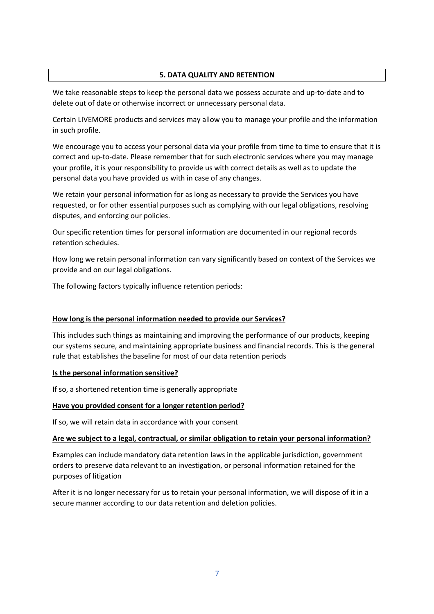## **5. DATA QUALITY AND RETENTION**

We take reasonable steps to keep the personal data we possess accurate and up-to-date and to delete out of date or otherwise incorrect or unnecessary personal data.

Certain LIVEMORE products and services may allow you to manage your profile and the information in such profile.

We encourage you to access your personal data via your profile from time to time to ensure that it is correct and up-to-date. Please remember that for such electronic services where you may manage your profile, it is your responsibility to provide us with correct details as well as to update the personal data you have provided us with in case of any changes.

We retain your personal information for as long as necessary to provide the Services you have requested, or for other essential purposes such as complying with our legal obligations, resolving disputes, and enforcing our policies.

Our specific retention times for personal information are documented in our regional records retention schedules.

How long we retain personal information can vary significantly based on context of the Services we provide and on our legal obligations.

The following factors typically influence retention periods:

### **How long is the personal information needed to provide our Services?**

This includes such things as maintaining and improving the performance of our products, keeping our systems secure, and maintaining appropriate business and financial records. This is the general rule that establishes the baseline for most of our data retention periods

### **Is the personal information sensitive?**

If so, a shortened retention time is generally appropriate

## **Have you provided consent for a longer retention period?**

If so, we will retain data in accordance with your consent

### **Are we subject to a legal, contractual, or similar obligation to retain your personal information?**

Examples can include mandatory data retention laws in the applicable jurisdiction, government orders to preserve data relevant to an investigation, or personal information retained for the purposes of litigation

After it is no longer necessary for us to retain your personal information, we will dispose of it in a secure manner according to our data retention and deletion policies.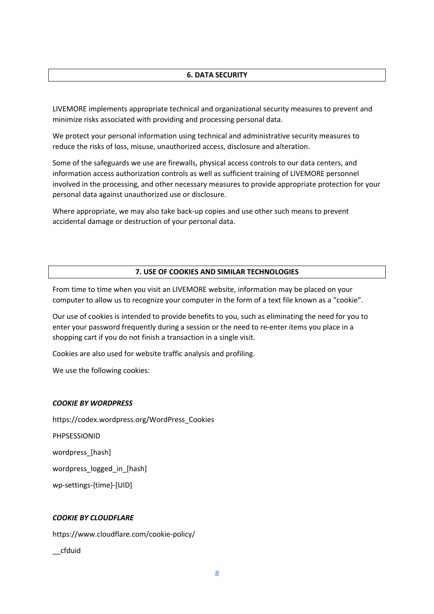#### **6. DATA SECURITY**

LIVEMORE implements appropriate technical and organizational security measures to prevent and minimize risks associated with providing and processing personal data.

We protect your personal information using technical and administrative security measures to reduce the risks of loss, misuse, unauthorized access, disclosure and alteration.

Some of the safeguards we use are firewalls, physical access controls to our data centers, and information access authorization controls as well as sufficient training of LIVEMORE personnel involved in the processing, and other necessary measures to provide appropriate protection for your personal data against unauthorized use or disclosure.

Where appropriate, we may also take back-up copies and use other such means to prevent accidental damage or destruction of your personal data.

#### **7. USE OF COOKIES AND SIMILAR TECHNOLOGIES**

From time to time when you visit an LIVEMORE website, information may be placed on your computer to allow us to recognize your computer in the form of a text file known as a "cookie".

Our use of cookies is intended to provide benefits to you, such as eliminating the need for you to enter your password frequently during a session or the need to re-enter items you place in a shopping cart if you do not finish a transaction in a single visit.

Cookies are also used for website traffic analysis and profiling.

We use the following cookies:

#### *COOKIE BY WORDPRESS*

https://codex.wordpress.org/WordPress\_Cookies PHPSESSIONID wordpress\_[hash] wordpress\_logged\_in\_[hash] wp-settings-{time}-[UID]

#### *COOKIE BY CLOUDFLARE*

https://www.cloudflare.com/cookie-policy/

\_\_cfduid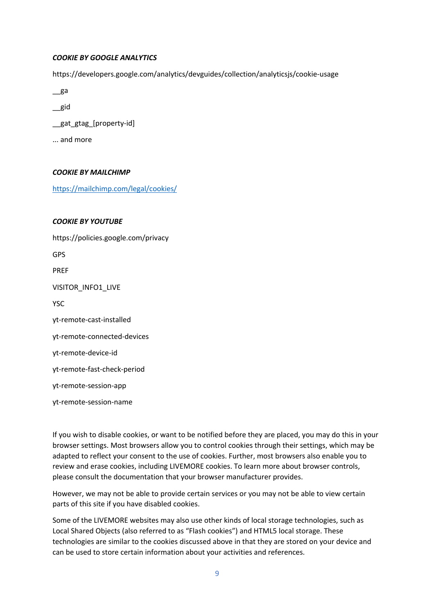#### *COOKIE BY GOOGLE ANALYTICS*

https://developers.google.com/analytics/devguides/collection/analyticsjs/cookie-usage

- $\equiv$ ga
- \_\_gid
- \_\_gat\_gtag\_[property-id]
- ... and more

### *COOKIE BY MAILCHIMP*

https://mailchimp.com/legal/cookies/

## *COOKIE BY YOUTUBE*

https://policies.google.com/privacy GPS PREF VISITOR\_INFO1\_LIVE **YSC** yt-remote-cast-installed yt-remote-connected-devices yt-remote-device-id yt-remote-fast-check-period yt-remote-session-app yt-remote-session-name

If you wish to disable cookies, or want to be notified before they are placed, you may do this in your browser settings. Most browsers allow you to control cookies through their settings, which may be adapted to reflect your consent to the use of cookies. Further, most browsers also enable you to review and erase cookies, including LIVEMORE cookies. To learn more about browser controls, please consult the documentation that your browser manufacturer provides.

However, we may not be able to provide certain services or you may not be able to view certain parts of this site if you have disabled cookies.

Some of the LIVEMORE websites may also use other kinds of local storage technologies, such as Local Shared Objects (also referred to as "Flash cookies") and HTML5 local storage. These technologies are similar to the cookies discussed above in that they are stored on your device and can be used to store certain information about your activities and references.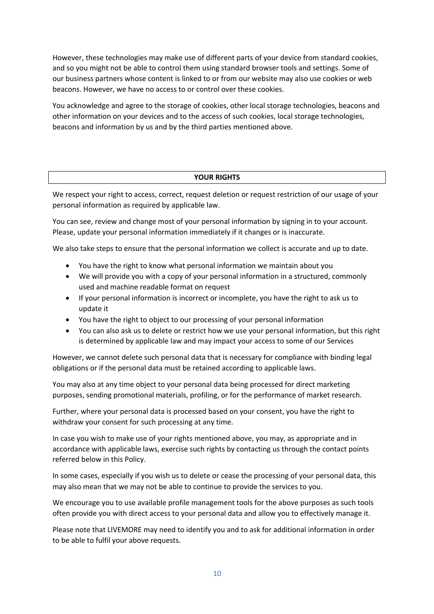However, these technologies may make use of different parts of your device from standard cookies, and so you might not be able to control them using standard browser tools and settings. Some of our business partners whose content is linked to or from our website may also use cookies or web beacons. However, we have no access to or control over these cookies.

You acknowledge and agree to the storage of cookies, other local storage technologies, beacons and other information on your devices and to the access of such cookies, local storage technologies, beacons and information by us and by the third parties mentioned above.

### **YOUR RIGHTS**

We respect your right to access, correct, request deletion or request restriction of our usage of your personal information as required by applicable law.

You can see, review and change most of your personal information by signing in to your account. Please, update your personal information immediately if it changes or is inaccurate.

We also take steps to ensure that the personal information we collect is accurate and up to date.

- You have the right to know what personal information we maintain about you
- We will provide you with a copy of your personal information in a structured, commonly used and machine readable format on request
- If your personal information is incorrect or incomplete, you have the right to ask us to update it
- You have the right to object to our processing of your personal information
- You can also ask us to delete or restrict how we use your personal information, but this right is determined by applicable law and may impact your access to some of our Services

However, we cannot delete such personal data that is necessary for compliance with binding legal obligations or if the personal data must be retained according to applicable laws.

You may also at any time object to your personal data being processed for direct marketing purposes, sending promotional materials, profiling, or for the performance of market research.

Further, where your personal data is processed based on your consent, you have the right to withdraw your consent for such processing at any time.

In case you wish to make use of your rights mentioned above, you may, as appropriate and in accordance with applicable laws, exercise such rights by contacting us through the contact points referred below in this Policy.

In some cases, especially if you wish us to delete or cease the processing of your personal data, this may also mean that we may not be able to continue to provide the services to you.

We encourage you to use available profile management tools for the above purposes as such tools often provide you with direct access to your personal data and allow you to effectively manage it.

Please note that LIVEMORE may need to identify you and to ask for additional information in order to be able to fulfil your above requests.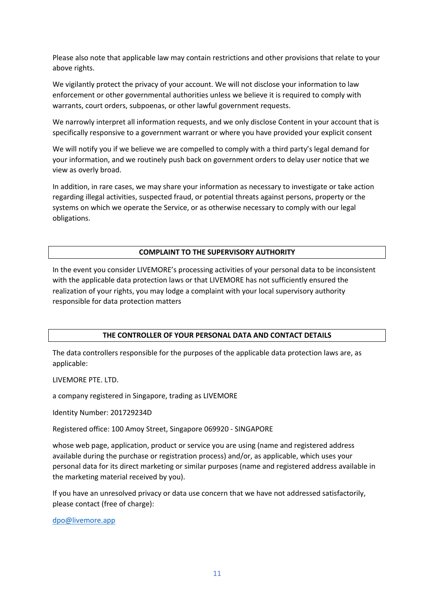Please also note that applicable law may contain restrictions and other provisions that relate to your above rights.

We vigilantly protect the privacy of your account. We will not disclose your information to law enforcement or other governmental authorities unless we believe it is required to comply with warrants, court orders, subpoenas, or other lawful government requests.

We narrowly interpret all information requests, and we only disclose Content in your account that is specifically responsive to a government warrant or where you have provided your explicit consent

We will notify you if we believe we are compelled to comply with a third party's legal demand for your information, and we routinely push back on government orders to delay user notice that we view as overly broad.

In addition, in rare cases, we may share your information as necessary to investigate or take action regarding illegal activities, suspected fraud, or potential threats against persons, property or the systems on which we operate the Service, or as otherwise necessary to comply with our legal obligations.

#### **COMPLAINT TO THE SUPERVISORY AUTHORITY**

In the event you consider LIVEMORE's processing activities of your personal data to be inconsistent with the applicable data protection laws or that LIVEMORE has not sufficiently ensured the realization of your rights, you may lodge a complaint with your local supervisory authority responsible for data protection matters

### **THE CONTROLLER OF YOUR PERSONAL DATA AND CONTACT DETAILS**

The data controllers responsible for the purposes of the applicable data protection laws are, as applicable:

LIVEMORE PTE. LTD.

a company registered in Singapore, trading as LIVEMORE

Identity Number: 201729234D

Registered office: 100 Amoy Street, Singapore 069920 - SINGAPORE

whose web page, application, product or service you are using (name and registered address available during the purchase or registration process) and/or, as applicable, which uses your personal data for its direct marketing or similar purposes (name and registered address available in the marketing material received by you).

If you have an unresolved privacy or data use concern that we have not addressed satisfactorily, please contact (free of charge):

dpo@livemore.app